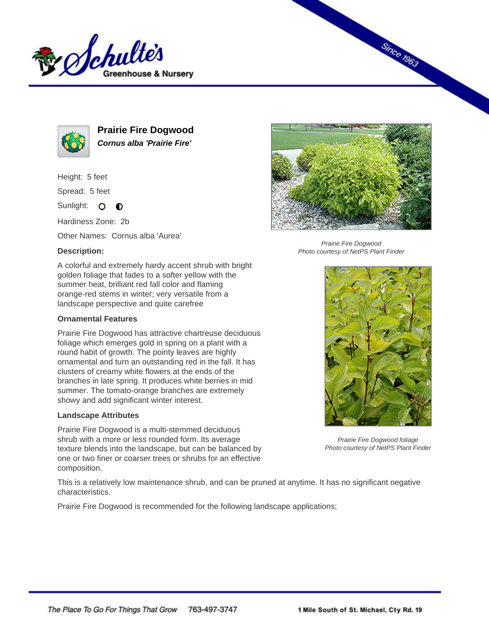



**Prairie Fire Dogwood Cornus alba 'Prairie Fire'**

Height: 5 feet

Spread: 5 feet

Sunlight: O **O** 

Hardiness Zone: 2b

Other Names: Cornus alba 'Aurea'

## **Description:**

A colorful and extremely hardy accent shrub with bright golden foliage that fades to a softer yellow with the summer heat, brilliant red fall color and flaming orange-red stems in winter; very versatile from a landscape perspective and quite carefree

## **Ornamental Features**

Prairie Fire Dogwood has attractive chartreuse deciduous foliage which emerges gold in spring on a plant with a round habit of growth. The pointy leaves are highly ornamental and turn an outstanding red in the fall. It has clusters of creamy white flowers at the ends of the branches in late spring. It produces white berries in mid summer. The tomato-orange branches are extremely showy and add significant winter interest.

## **Landscape Attributes**

Prairie Fire Dogwood is a multi-stemmed deciduous shrub with a more or less rounded form. Its average texture blends into the landscape, but can be balanced by one or two finer or coarser trees or shrubs for an effective composition.



**Since 1963** 

Prairie Fire Dogwood Photo courtesy of NetPS Plant Finder



Prairie Fire Dogwood foliage Photo courtesy of NetPS Plant Finder

This is a relatively low maintenance shrub, and can be pruned at anytime. It has no significant negative characteristics.

Prairie Fire Dogwood is recommended for the following landscape applications;